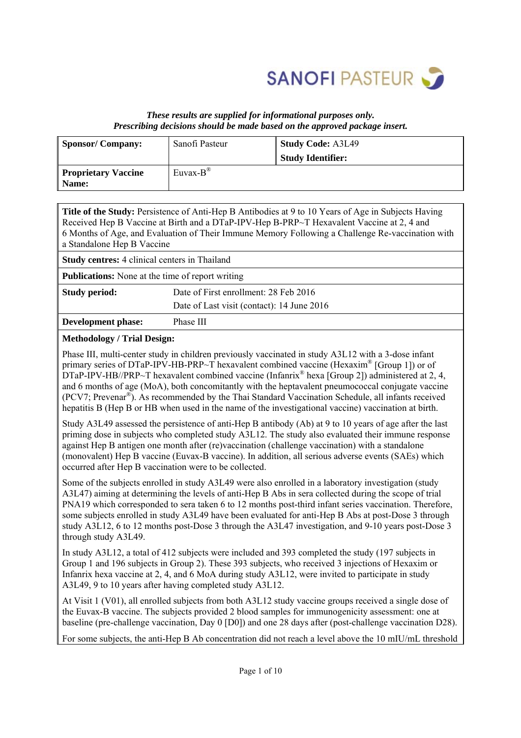

#### *These results are supplied for informational purposes only. Prescribing decisions should be made based on the approved package insert.*

| Sponsor/Company:                    | Sanofi Pasteur       | Study Code: A3L49        |
|-------------------------------------|----------------------|--------------------------|
|                                     |                      | <b>Study Identifier:</b> |
| <b>Proprietary Vaccine</b><br>Name: | Euvax- $B^{\otimes}$ |                          |

| <b>Title of the Study:</b> Persistence of Anti-Hep B Antibodies at 9 to 10 Years of Age in Subjects Having |
|------------------------------------------------------------------------------------------------------------|
| Received Hep B Vaccine at Birth and a DTaP-IPV-Hep B-PRP~T Hexavalent Vaccine at 2, 4 and                  |
| 6 Months of Age, and Evaluation of Their Immune Memory Following a Challenge Re-vaccination with           |
| a Standalone Hep B Vaccine                                                                                 |

|                                                               | <b>Study centres:</b> 4 clinical centers in Thailand |  |  |  |  |
|---------------------------------------------------------------|------------------------------------------------------|--|--|--|--|
| <b>Publications:</b> None at the time of report writing       |                                                      |  |  |  |  |
| Date of First enrollment: 28 Feb 2016<br><b>Study period:</b> |                                                      |  |  |  |  |
|                                                               | Date of Last visit (contact): 14 June 2016           |  |  |  |  |
| Development phase:                                            | Phase III                                            |  |  |  |  |

#### **Methodology / Trial Design:**

Phase III, multi-center study in children previously vaccinated in study A3L12 with a 3-dose infant primary series of DTaP-IPV-HB-PRP~T hexavalent combined vaccine (Hexaxim® [Group 1]) or of DTaP-IPV-HB//PRP~T hexavalent combined vaccine (Infanrix<sup>®</sup> hexa [Group 2]) administered at 2, 4, and 6 months of age (MoA), both concomitantly with the heptavalent pneumococcal conjugate vaccine (PCV7; Prevenar®). As recommended by the Thai Standard Vaccination Schedule, all infants received hepatitis B (Hep B or HB when used in the name of the investigational vaccine) vaccination at birth.

Study A3L49 assessed the persistence of anti-Hep B antibody (Ab) at 9 to 10 years of age after the last priming dose in subjects who completed study A3L12. The study also evaluated their immune response against Hep B antigen one month after (re)vaccination (challenge vaccination) with a standalone (monovalent) Hep B vaccine (Euvax-B vaccine). In addition, all serious adverse events (SAEs) which occurred after Hep B vaccination were to be collected.

Some of the subjects enrolled in study A3L49 were also enrolled in a laboratory investigation (study A3L47) aiming at determining the levels of anti-Hep B Abs in sera collected during the scope of trial PNA19 which corresponded to sera taken 6 to 12 months post-third infant series vaccination. Therefore, some subjects enrolled in study A3L49 have been evaluated for anti-Hep B Abs at post-Dose 3 through study A3L12, 6 to 12 months post-Dose 3 through the A3L47 investigation, and 9-10 years post-Dose 3 through study A3L49.

In study A3L12, a total of 412 subjects were included and 393 completed the study (197 subjects in Group 1 and 196 subjects in Group 2). These 393 subjects, who received 3 injections of Hexaxim or Infanrix hexa vaccine at 2, 4, and 6 MoA during study A3L12, were invited to participate in study A3L49, 9 to 10 years after having completed study A3L12.

At Visit 1 (V01), all enrolled subjects from both A3L12 study vaccine groups received a single dose of the Euvax-B vaccine. The subjects provided 2 blood samples for immunogenicity assessment: one at baseline (pre-challenge vaccination, Day 0 [D0]) and one 28 days after (post-challenge vaccination D28).

For some subjects, the anti-Hep B Ab concentration did not reach a level above the 10 mIU/mL threshold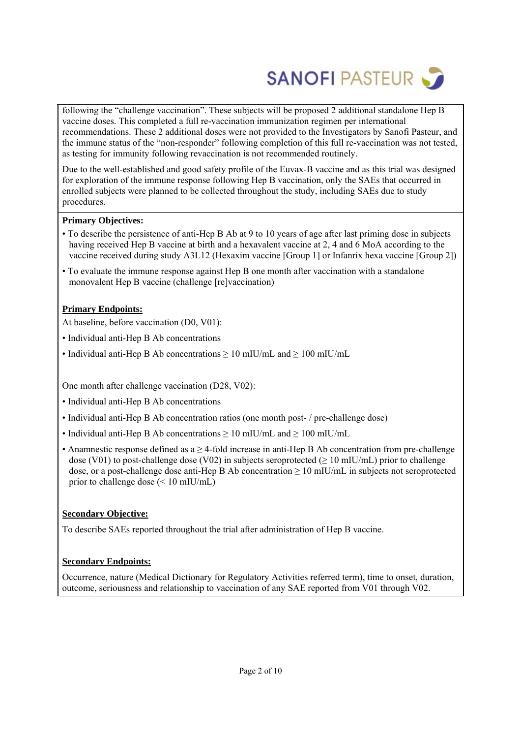

following the "challenge vaccination". These subjects will be proposed 2 additional standalone Hep B vaccine doses. This completed a full re-vaccination immunization regimen per international recommendations. These 2 additional doses were not provided to the Investigators by Sanofi Pasteur, and the immune status of the "non-responder" following completion of this full re-vaccination was not tested, as testing for immunity following revaccination is not recommended routinely.

Due to the well-established and good safety profile of the Euvax-B vaccine and as this trial was designed for exploration of the immune response following Hep B vaccination, only the SAEs that occurred in enrolled subjects were planned to be collected throughout the study, including SAEs due to study procedures.

#### **Primary Objectives:**

- To describe the persistence of anti-Hep B Ab at 9 to 10 years of age after last priming dose in subjects having received Hep B vaccine at birth and a hexavalent vaccine at 2, 4 and 6 MoA according to the vaccine received during study A3L12 (Hexaxim vaccine [Group 1] or Infanrix hexa vaccine [Group 2])
- To evaluate the immune response against Hep B one month after vaccination with a standalone monovalent Hep B vaccine (challenge [re]vaccination)

#### **Primary Endpoints:**

At baseline, before vaccination (D0, V01):

- Individual anti-Hep B Ab concentrations
- Individual anti-Hep B Ab concentrations > 10 mIU/mL and > 100 mIU/mL

One month after challenge vaccination (D28, V02):

- Individual anti-Hep B Ab concentrations
- Individual anti-Hep B Ab concentration ratios (one month post- / pre-challenge dose)
- Individual anti-Hep B Ab concentrations  $\geq 10$  mIU/mL and  $\geq 100$  mIU/mL
- Anamnestic response defined as  $a \geq 4$ -fold increase in anti-Hep B Ab concentration from pre-challenge dose (V01) to post-challenge dose (V02) in subjects seroprotected ( $\geq$  10 mIU/mL) prior to challenge dose, or a post-challenge dose anti-Hep B Ab concentration  $\geq 10$  mIU/mL in subjects not seroprotected prior to challenge dose (< 10 mIU/mL)

#### **Secondary Objective:**

To describe SAEs reported throughout the trial after administration of Hep B vaccine.

#### **Secondary Endpoints:**

Occurrence, nature (Medical Dictionary for Regulatory Activities referred term), time to onset, duration, outcome, seriousness and relationship to vaccination of any SAE reported from V01 through V02.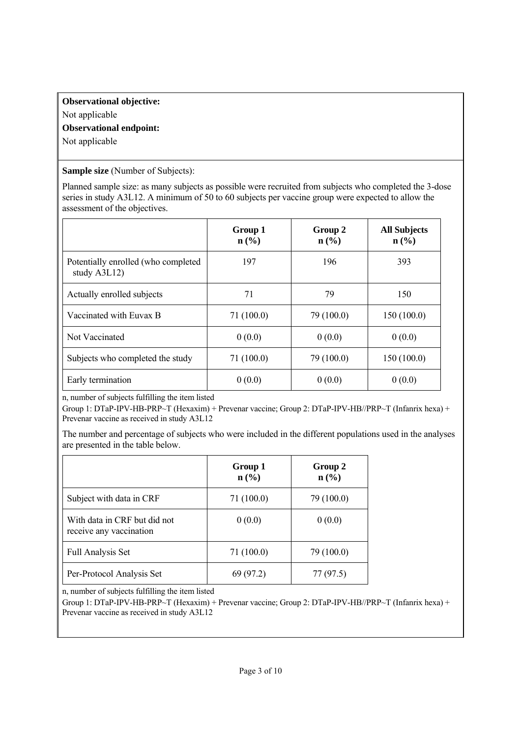# **Observational objective:**  Not applicable **Observational endpoint:**

Not applicable

**Sample size** (Number of Subjects):

Planned sample size: as many subjects as possible were recruited from subjects who completed the 3-dose series in study A3L12. A minimum of 50 to 60 subjects per vaccine group were expected to allow the assessment of the objectives.

|                                                     | Group 1<br>$n\left(\frac{0}{0}\right)$ | Group 2<br>$n\left(\frac{0}{0}\right)$ | <b>All Subjects</b><br>$n\left(\frac{0}{0}\right)$ |
|-----------------------------------------------------|----------------------------------------|----------------------------------------|----------------------------------------------------|
| Potentially enrolled (who completed<br>study A3L12) | 197                                    | 196                                    | 393                                                |
| Actually enrolled subjects                          | 71                                     | 79                                     | 150                                                |
| Vaccinated with Euvax B                             | 71(100.0)                              | 79 (100.0)                             | 150(100.0)                                         |
| Not Vaccinated                                      | 0(0.0)                                 | 0(0.0)                                 | 0(0.0)                                             |
| Subjects who completed the study                    | 71(100.0)                              | 79 (100.0)                             | 150(100.0)                                         |
| Early termination                                   | 0(0.0)                                 | 0(0.0)                                 | 0(0.0)                                             |

n, number of subjects fulfilling the item listed

Group 1: DTaP-IPV-HB-PRP~T (Hexaxim) + Prevenar vaccine; Group 2: DTaP-IPV-HB//PRP~T (Infanrix hexa) + Prevenar vaccine as received in study A3L12

The number and percentage of subjects who were included in the different populations used in the analyses are presented in the table below.

|                                                         | Group 1<br>$n\left(\frac{0}{0}\right)$ | Group 2<br>$n\left(\frac{9}{6}\right)$ |
|---------------------------------------------------------|----------------------------------------|----------------------------------------|
| Subject with data in CRF                                | 71 (100.0)                             | 79 (100.0)                             |
| With data in CRF but did not<br>receive any vaccination | 0(0.0)                                 | 0(0.0)                                 |
| <b>Full Analysis Set</b>                                | 71(100.0)                              | 79 (100.0)                             |
| Per-Protocol Analysis Set                               | 69 (97.2)                              | 77 (97.5)                              |

n, number of subjects fulfilling the item listed

Group 1: DTaP-IPV-HB-PRP~T (Hexaxim) + Prevenar vaccine; Group 2: DTaP-IPV-HB//PRP~T (Infanrix hexa) + Prevenar vaccine as received in study A3L12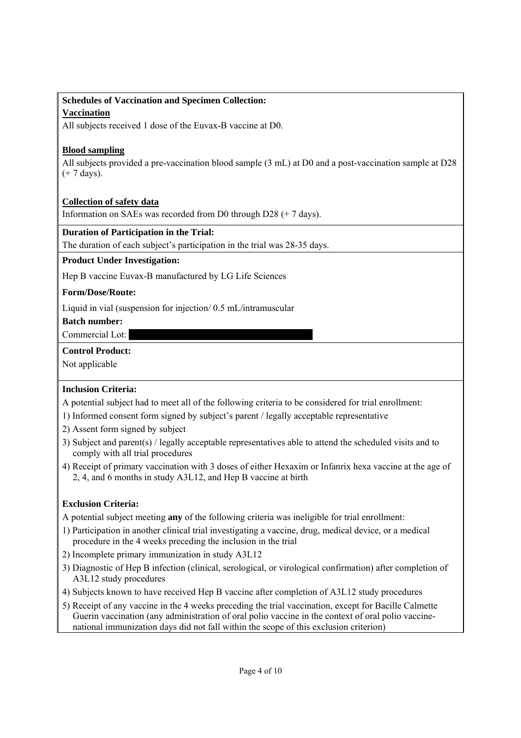# **Schedules of Vaccination and Specimen Collection:**

# **Vaccination**

All subjects received 1 dose of the Euvax-B vaccine at D0.

# **Blood sampling**

All subjects provided a pre-vaccination blood sample (3 mL) at D0 and a post-vaccination sample at D28 (+ 7 days).

# **Collection of safety data**

Information on SAEs was recorded from D0 through D28 (+ 7 days).

# **Duration of Participation in the Trial:**

The duration of each subject's participation in the trial was 28-35 days.

## **Product Under Investigation:**

Hep B vaccine Euvax-B manufactured by LG Life Sciences

## **Form/Dose/Route:**

Liquid in vial (suspension for injection/ 0.5 mL/intramuscular

**Batch number:** 

## Commercial Lot:

## **Control Product:**

Not applicable

# **Inclusion Criteria:**

A potential subject had to meet all of the following criteria to be considered for trial enrollment:

- 1) Informed consent form signed by subject's parent / legally acceptable representative
- 2) Assent form signed by subject
- 3) Subject and parent(s) / legally acceptable representatives able to attend the scheduled visits and to comply with all trial procedures
- 4) Receipt of primary vaccination with 3 doses of either Hexaxim or Infanrix hexa vaccine at the age of 2, 4, and 6 months in study A3L12, and Hep B vaccine at birth

# **Exclusion Criteria:**

A potential subject meeting **any** of the following criteria was ineligible for trial enrollment:

- 1) Participation in another clinical trial investigating a vaccine, drug, medical device, or a medical procedure in the 4 weeks preceding the inclusion in the trial
- 2) Incomplete primary immunization in study A3L12
- 3) Diagnostic of Hep B infection (clinical, serological, or virological confirmation) after completion of A3L12 study procedures
- 4) Subjects known to have received Hep B vaccine after completion of A3L12 study procedures
- 5) Receipt of any vaccine in the 4 weeks preceding the trial vaccination, except for Bacille Calmette Guerin vaccination (any administration of oral polio vaccine in the context of oral polio vaccinenational immunization days did not fall within the scope of this exclusion criterion)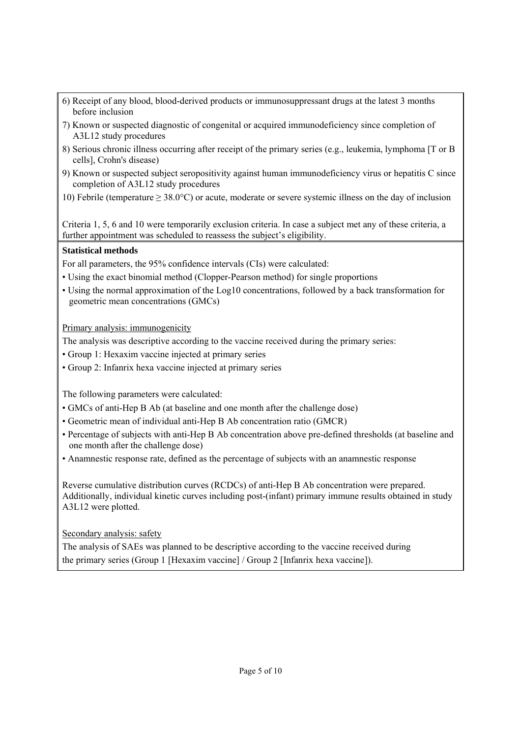- 6) Receipt of any blood, blood-derived products or immunosuppressant drugs at the latest 3 months before inclusion
- 7) Known or suspected diagnostic of congenital or acquired immunodeficiency since completion of A3L12 study procedures
- 8) Serious chronic illness occurring after receipt of the primary series (e.g., leukemia, lymphoma [T or B cells], Crohn's disease)
- 9) Known or suspected subject seropositivity against human immunodeficiency virus or hepatitis C since completion of A3L12 study procedures
- 10) Febrile (temperature ≥ 38.0°C) or acute, moderate or severe systemic illness on the day of inclusion

Criteria 1, 5, 6 and 10 were temporarily exclusion criteria. In case a subject met any of these criteria, a further appointment was scheduled to reassess the subject's eligibility.

## **Statistical methods**

For all parameters, the 95% confidence intervals (CIs) were calculated:

- Using the exact binomial method (Clopper-Pearson method) for single proportions
- Using the normal approximation of the Log10 concentrations, followed by a back transformation for geometric mean concentrations (GMCs)

Primary analysis: immunogenicity

The analysis was descriptive according to the vaccine received during the primary series:

- Group 1: Hexaxim vaccine injected at primary series
- Group 2: Infanrix hexa vaccine injected at primary series

The following parameters were calculated:

- GMCs of anti-Hep B Ab (at baseline and one month after the challenge dose)
- Geometric mean of individual anti-Hep B Ab concentration ratio (GMCR)
- Percentage of subjects with anti-Hep B Ab concentration above pre-defined thresholds (at baseline and one month after the challenge dose)
- Anamnestic response rate, defined as the percentage of subjects with an anamnestic response

Reverse cumulative distribution curves (RCDCs) of anti-Hep B Ab concentration were prepared. Additionally, individual kinetic curves including post-(infant) primary immune results obtained in study A3L12 were plotted.

Secondary analysis: safety

The analysis of SAEs was planned to be descriptive according to the vaccine received during the primary series (Group 1 [Hexaxim vaccine] / Group 2 [Infanrix hexa vaccine]).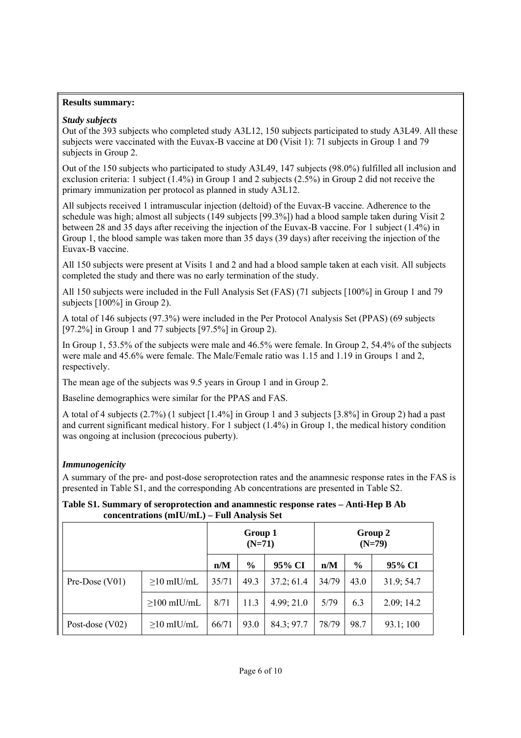#### **Results summary:**

## *Study subjects*

Out of the 393 subjects who completed study A3L12, 150 subjects participated to study A3L49. All these subjects were vaccinated with the Euvax-B vaccine at D0 (Visit 1): 71 subjects in Group 1 and 79 subjects in Group 2.

Out of the 150 subjects who participated to study A3L49, 147 subjects (98.0%) fulfilled all inclusion and exclusion criteria: 1 subject (1.4%) in Group 1 and 2 subjects (2.5%) in Group 2 did not receive the primary immunization per protocol as planned in study A3L12.

All subjects received 1 intramuscular injection (deltoid) of the Euvax-B vaccine. Adherence to the schedule was high; almost all subjects (149 subjects [99.3%]) had a blood sample taken during Visit 2 between 28 and 35 days after receiving the injection of the Euvax-B vaccine. For 1 subject (1.4%) in Group 1, the blood sample was taken more than 35 days (39 days) after receiving the injection of the Euvax-B vaccine.

All 150 subjects were present at Visits 1 and 2 and had a blood sample taken at each visit. All subjects completed the study and there was no early termination of the study.

All 150 subjects were included in the Full Analysis Set (FAS) (71 subjects [100%] in Group 1 and 79 subjects [100%] in Group 2).

A total of 146 subjects (97.3%) were included in the Per Protocol Analysis Set (PPAS) (69 subjects [97.2%] in Group 1 and 77 subjects [97.5%] in Group 2).

In Group 1, 53.5% of the subjects were male and 46.5% were female. In Group 2, 54.4% of the subjects were male and 45.6% were female. The Male/Female ratio was 1.15 and 1.19 in Groups 1 and 2, respectively.

The mean age of the subjects was 9.5 years in Group 1 and in Group 2.

Baseline demographics were similar for the PPAS and FAS.

A total of 4 subjects (2.7%) (1 subject [1.4%] in Group 1 and 3 subjects [3.8%] in Group 2) had a past and current significant medical history. For 1 subject (1.4%) in Group 1, the medical history condition was ongoing at inclusion (precocious puberty).

# *Immunogenicity*

A summary of the pre- and post-dose seroprotection rates and the anamnesic response rates in the FAS is presented in Table S1, and the corresponding Ab concentrations are presented in Table S2.

#### **Table S1. Summary of seroprotection and anamnestic response rates – Anti-Hep B Ab concentrations (mIU/mL) – Full Analysis Set**

|                   |                   | Group 1<br>$(N=71)$ |               |            | Group 2<br>$(N=79)$ |      |            |
|-------------------|-------------------|---------------------|---------------|------------|---------------------|------|------------|
|                   |                   | n/M                 | $\frac{6}{6}$ | 95% CI     | n/M                 | $\%$ | 95% CI     |
| Pre-Dose $(V01)$  | $\geq$ 10 mIU/mL  | 35/71               | 49.3          | 37.2; 61.4 | 34/79               | 43.0 | 31.9; 54.7 |
|                   | $\geq$ 100 mIU/mL | 8/71                | 11.3          | 4.99; 21.0 | 5/79                | 6.3  | 2.09; 14.2 |
| Post-dose $(V02)$ | $\geq$ 10 mIU/mL  | 66/71               | 93.0          | 84.3; 97.7 | 78/79               | 98.7 | 93.1;100   |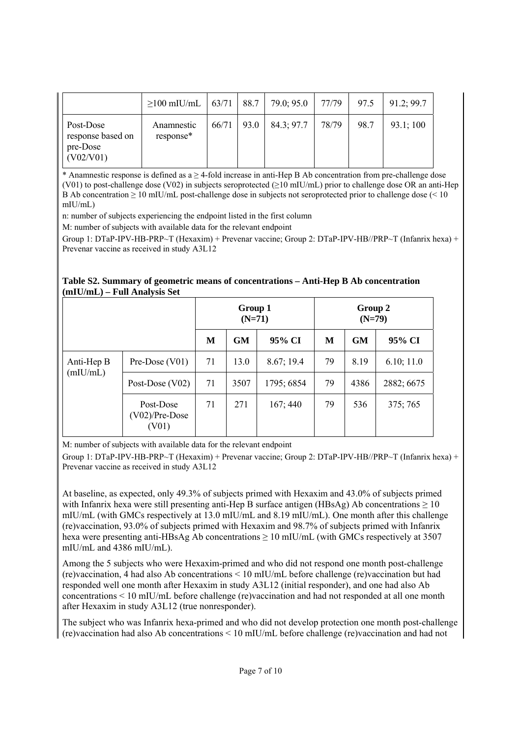|                                                         | $\geq$ 100 mIU/mL   63/71 |       | 88.7 | 79.0; 95.0 | 77/79 | 97.5 | 91.2; 99.7 |
|---------------------------------------------------------|---------------------------|-------|------|------------|-------|------|------------|
| Post-Dose<br>response based on<br>pre-Dose<br>(V02/V01) | Anamnestic<br>response*   | 66/71 | 93.0 | 84.3; 97.7 | 78/79 | 98.7 | 93.1;100   |

\* Anamnestic response is defined as a ≥ 4-fold increase in anti-Hep B Ab concentration from pre-challenge dose (V01) to post-challenge dose (V02) in subjects seroprotected (≥10 mIU/mL) prior to challenge dose OR an anti-Hep B Ab concentration  $\geq 10$  mIU/mL post-challenge dose in subjects not seroprotected prior to challenge dose (< 10 mIU/mL)

n: number of subjects experiencing the endpoint listed in the first column

M: number of subjects with available data for the relevant endpoint

Group 1: DTaP-IPV-HB-PRP~T (Hexaxim) + Prevenar vaccine; Group 2: DTaP-IPV-HB//PRP~T (Infanrix hexa) + Prevenar vaccine as received in study A3L12

| Table S2. Summary of geometric means of concentrations – Anti-Hep B Ab concentration |  |
|--------------------------------------------------------------------------------------|--|
| $(mIU/mL) - Full Analysis Set$                                                       |  |

|                        |                                               | Group 1<br>$(N=71)$ |           | Group 2<br>$(N=79)$ |    |           |            |
|------------------------|-----------------------------------------------|---------------------|-----------|---------------------|----|-----------|------------|
|                        |                                               | M                   | <b>GM</b> | 95% CI              | M  | <b>GM</b> | 95% CI     |
| Anti-Hep B<br>(mIU/mL) | Pre-Dose $(V01)$                              | 71                  | 13.0      | 8.67; 19.4          | 79 | 8.19      | 6.10; 11.0 |
|                        | Post-Dose $(V02)$                             | 71                  | 3507      | 1795; 6854          | 79 | 4386      | 2882; 6675 |
|                        | Post-Dose<br>$(V02)/Pre\text{-}Dose$<br>(V01) | 71                  | 271       | 167;440             | 79 | 536       | 375;765    |

M: number of subjects with available data for the relevant endpoint

Group 1: DTaP-IPV-HB-PRP~T (Hexaxim) + Prevenar vaccine; Group 2: DTaP-IPV-HB//PRP~T (Infanrix hexa) + Prevenar vaccine as received in study A3L12

At baseline, as expected, only 49.3% of subjects primed with Hexaxim and 43.0% of subjects primed with Infanrix hexa were still presenting anti-Hep B surface antigen (HBsAg) Ab concentrations  $\geq 10$ mIU/mL (with GMCs respectively at 13.0 mIU/mL and 8.19 mIU/mL). One month after this challenge (re)vaccination, 93.0% of subjects primed with Hexaxim and 98.7% of subjects primed with Infanrix hexa were presenting anti-HBsAg Ab concentrations  $\geq 10$  mIU/mL (with GMCs respectively at 3507) mIU/mL and 4386 mIU/mL).

Among the 5 subjects who were Hexaxim-primed and who did not respond one month post-challenge (re)vaccination, 4 had also Ab concentrations < 10 mIU/mL before challenge (re)vaccination but had responded well one month after Hexaxim in study A3L12 (initial responder), and one had also Ab concentrations < 10 mIU/mL before challenge (re)vaccination and had not responded at all one month after Hexaxim in study A3L12 (true nonresponder).

The subject who was Infanrix hexa-primed and who did not develop protection one month post-challenge (re)vaccination had also Ab concentrations < 10 mIU/mL before challenge (re)vaccination and had not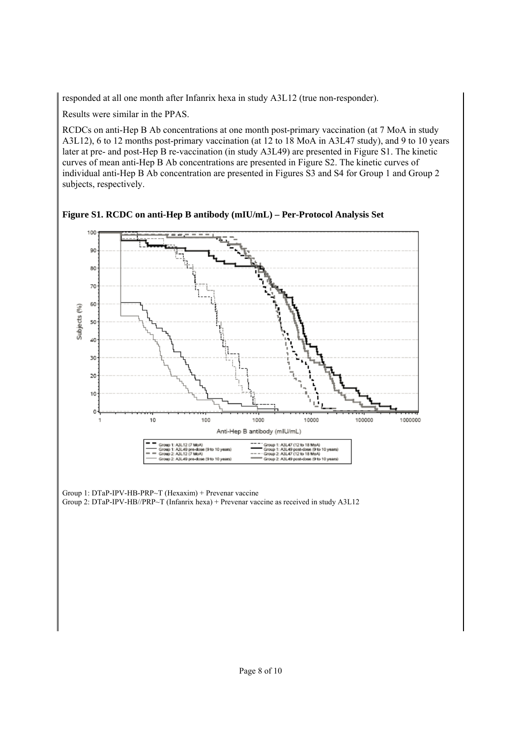responded at all one month after Infanrix hexa in study A3L12 (true non-responder).

Results were similar in the PPAS.

RCDCs on anti-Hep B Ab concentrations at one month post-primary vaccination (at 7 MoA in study A3L12), 6 to 12 months post-primary vaccination (at 12 to 18 MoA in A3L47 study), and 9 to 10 years later at pre- and post-Hep B re-vaccination (in study A3L49) are presented in Figure S1. The kinetic curves of mean anti-Hep B Ab concentrations are presented in Figure S2. The kinetic curves of individual anti-Hep B Ab concentration are presented in Figures S3 and S4 for Group 1 and Group 2 subjects, respectively.



**Figure S1. RCDC on anti-Hep B antibody (mIU/mL) – Per-Protocol Analysis Set** 

Group 1: DTaP-IPV-HB-PRP~T (Hexaxim) + Prevenar vaccine Group 2: DTaP-IPV-HB//PRP~T (Infanrix hexa) + Prevenar vaccine as received in study A3L12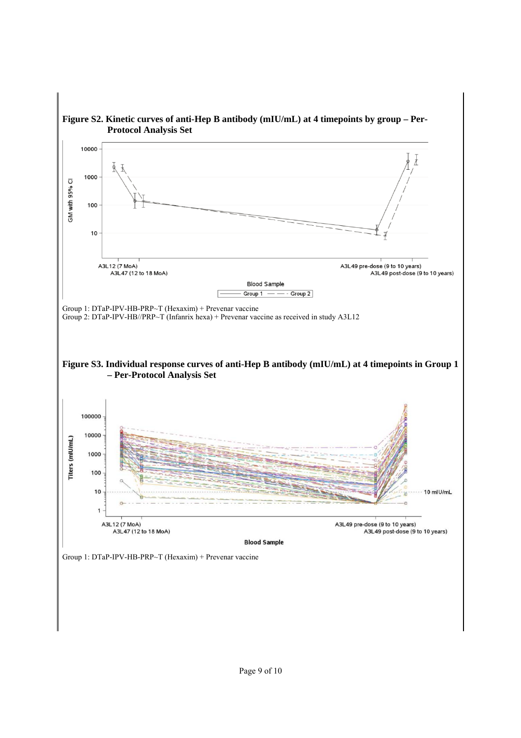